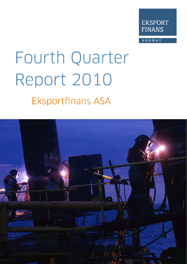

NORWAY

# Fourth Quarter Report 2010 **Eksportfinans ASA**

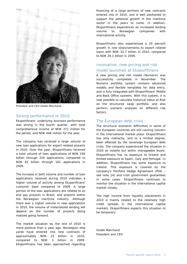

President and CEO Gisèle Marchand

#### Strong performance in 2010

Eksportfinans' underlying business performance was strong in the fourth quarter, with total comprehensive income of NOK 271 million for the period, and NOK 448 million for the year.

The company has received a large volume of new loan applications for export related projects in 2010. Over the year, Eksportfinans received a total volume of loan applications of NOK 156 billion through 220 applications, compared to NOK 82 billion through 161 applications in 2009.

The increase in both volume and number of loan applications received during 2010 indicates a higher volume of activity among Eksportfinans' customer base compared to 2009. A large portion of the loan applications are related to oil and gas projects in Brazil, and projects within the Norwegian maritime industry. Although there was a higher volume in new applications in 2010, the volume of materialized lending will depend on the number of projects being realized going forward.

The market situation by the end of 2010 is more positive than a year ago. Norwegian ship yards have entered into new contracts of approximately NOK 15 billion in 2010, compared to NOK 3 billion in 2009. Eksportfinans has been approached regarding

financing of a large portions of new contracts entered into in 2010, and is well positioned to support the potential growth in the maritime sector in the years to come. In addition, Eksportfinans experiences an increased lending volume to Norwegian companies with international activity.

Eksportfinans also experienced a 20 percent growth in new disbursements to export related loans with NOK 33.7 billion in 2010, compared to NOK 28.1 billion in 2009.

#### Innovative, new pricing and risk model launched at Eksportfinans

A new pricing and risk model (Numerix) was successfully completed in November. The Numerix portfolio system contains advanced models and flexible templates for data entry, and is fully integrated with Eksportfinans' Middle and Back Office systems. With this system, it is now possible to calculate historical Value at Risk on the structured swap portfolio, and also perform scenario analyses on different risk factors.

#### The European debt crisis

The structural economic difficulties in some of the European countries are still causing concern in the international market place. Eksportfinans has only indirectly, and to a limited degree, been affected by the sovereign European debt crisis. The company experienced the situation in 2010 as volatile but within manageable levels. Eksportfinans has no exposure to Greece and limited exposure to Spain, Italy and Portugal. In addition, Eksportfinans has some exposure to Ireland. This exposure is covered by the company's Portfolio Hedge Agreement (PHA – see note 14) and Irish government guarantees in some cases. Eksportfinans continues to monitor the situation in the international capital market closely.

The high income from liquidity placements in 2010 is mainly related to the relatively high credit spreads in the international capital markets. Eksportfinans expects this situation to be temporary.

Gisèle Marchand President and CEO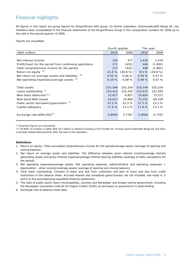## Financial highlights

All figures in this report are group figures for Eksportfinans ASA group. Its former subsidiary, Kommunekreditt Norge AS, has therefore been consolidated in the financial statements of the Eksportfinans Group in the comparative numbers for 2009 up to the sale in the second quarter of 2009.

Figures are unaudited.

|                                                         | Fourth quarter |          | The year |          |  |
|---------------------------------------------------------|----------------|----------|----------|----------|--|
| (NOK million)                                           | 2010           | 2009     | 2010     | 2009     |  |
|                                                         |                |          |          |          |  |
| Net interest income                                     | 324            | 377      | 1,419    | 1,470    |  |
| Profit/(loss) for the period from continuing operations | 271            | (432)    | 448      | (1,802)  |  |
| Total comprehensive income for the period               | 271            | (432)    | 448      | (1,801)  |  |
| Return on equity $1^x$                                  | 21.6 %         | (30.8 %) | 8.5%     | (28.6 %) |  |
| Net return on average assets and liabilities $2^x$      | 0.55%          | 0.66%    | 0.59%    | 0.57%    |  |
| Net operating expenses/average assets <sup>3)*</sup>    | 0.10%          | 0.08%    | 0.09%    | 0.07%    |  |
|                                                         |                |          |          |          |  |
| <b>Total assets</b>                                     | 215,549        | 225,254  | 215,549  | 225,254  |  |
| Loans outstanding $4)$                                  | 123,412        | 122,202  | 123,412  | 122,202  |  |
| New loans disbursed **                                  | 12,417         | 6,857    | 33,654   | 73,371   |  |
| New bond debt issued                                    | 16,012         | 25,895   | 72,231   | 69,339   |  |
| Public sector borrowers/guarantors 5)                   | 37.5%          | 23.3 %   | 37.5%    | 23.3 %   |  |
| Capital adequacy                                        | 17.6%          | 13.3%    | 17.6%    | 13.3 %   |  |
|                                                         |                |          |          |          |  |
| Exchange rate NOK/USD <sup>6)</sup>                     | 5.8564         | 5.7767   | 5.8564   | 5.7767   |  |
|                                                         |                |          |          |          |  |

\*) Quarterly figures are annualized.

\*\*) Of NOK 73.4 billion in 2009, NOK 45.3 billion is related to funding of KLP Kreditt AS, formely Kommunekreditt Norge AS and other municipal-related disbursements after the sale of the subsidiary.

#### **Definitions**

- 1. Return on equity: Total annualized comprehensive income for the period/average equity (average of opening and closing balance).
- 2. Net return on average assets and liabilities: The difference between gross interest income/average interest generating assets and gross interest expense/average interest bearing liabilities (average of daily calculations for the period).
- 3. Net operating expenses/average assets: Net operating expenses (administrative and operating expenses + depreciation - other income)/average assets (average of opening and closing balance).
- 4. Total loans outstanding: Consists of loans and due from customers and part of loans and due from credit institutions in the balance sheet. Accrued interest and unrealized gains/(losses) are not included, see notes 4, 5 and 6 to the accompanying unaudited financial statements.
- 5. The ratio of public sector loans (municipalities, counties and Norwegian and foreign central government, including the Norwegian Guarantee Institute for Export Credits (GIEK) as borrowers or guarantors) to total lending.
- 6. Exchange rate at balance sheet date.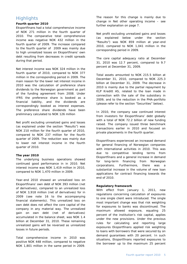#### **Highlights**

#### **Fourth quarter 2010**

Eksportfinans had a total comprehensive income of NOK 271 million in the fourth quarter of 2010. The comparative total comprehensive income was negative NOK 432 million in the fourth quarter of 2009. The increase compared to the fourth quarter of 2009 was mainly due to high unrealized losses on Eksportfinans' own debt resulting from decreases in credit spreads during that period.

Net interest income was NOK 324 million in the fourth quarter of 2010, compared to NOK 377 million in the corresponding period in 2009. The main reason for the lower net interest income in 2010 was the calculation of preference share dividends to the Norwegian government as part of the funding agreement from 2008. Under IFRS the preference share is booked as a financial liability, and the dividends are correspondingly booked as interest expenses. The preference share dividends have been preliminary calculated to NOK 126 million

Net profit excluding unrealized gains and losses (as explained under the section "Results") was NOK 210 million for the fourth quarter of 2010, compared to NOK 237 million for the fourth quarter of 2009. The reduction was mainly due to lower net interest income in the fourth quarter of 2010.

#### **The year 2010**

The underlying business operations showed continued good performance in in 2010. Net interest income was NOK 1,419 million in 2010, compared to NOK 1,470 million in 2009.

Year-end 2010 showed an unrealized loss on Eksportfinans' own debt of NOK 393 million (net of derivatives), compared to an unrealized loss of NOK 3,918 million (net of derivatives) for in 2009 (see note 16 to the accompanying financial statements). This unrealized loss on own debt does not affect the core capital of the company in any material way. The unrealized gain on own debt (net of derivatives) accumulated in the balance sheet, was NOK 1.4 billion at December 31, 2010. These remaining unrealized gains will be reversed as unrealized losses in future periods.

Total comprehensive income in 2010 was positive NOK 448 million, compared to negative NOK 1,801 million in the same period in 2009.

The reason for this change is mainly due to change in Net other operating income – see further explanation on page 7.

Net profit excluding unrealized gains and losses (as explained below under the section "Results") was NOK 859 million at year-end 2010, compared to NOK 1,041 million in the corresponding period in 2009.

The core capital adequacy ratio at December 31, 2010 was 12.7 percent, compared to 9.7 percent at December 31, 2009.

Total assets amounted to NOK 215.5 billion at December 31, 2010, compared to NOK 225.3 billion at December 31, 2009. The decrease in 2010 is mainly due to the partial repayment by KLP Kreditt AS, related to the loan made in connection with the sale of the subsidiary in 2009, and to the reduction in the PHA-portfolio (please refer to the section "Securities" below).

In 2010, the company saw continued interest from investors for Eksportfinans' debt globally with a total of NOK 72.2 billion of new funding raised. The company issued three benchmark transactions earlier in 2010 and focused on private placements in the fourth quarter.

Eksportfinans experienced an increased demand for general financing of Norwegian companies with international activities in 2010. This was due to competitive lending terms from Eksportfinans and a general increase in demand for long-term financing from Norwegian corporations. Furthermore, there was substantial increase in the volume of new loan applications for contract financing towards the end of 2010.

#### **Regulatory framework**

With effect from January 1, 2011, new regulations concerning calculation of exposures to one single client were introduced. The single most important change was that risk weighting for exposures to banks was discontinued. The maximum allowed exposure, equaling 25 percent of the institution's risk capital, applies under the new provisions. Under the previous rules for calculating and reporting large exposures Eksportfinans applied risk weighting to loans with borrowers that were secured by on demand guarantees with 20 percent. In such situations, Eksportfinans reported exposures to the borrower up to the maximum 25 percent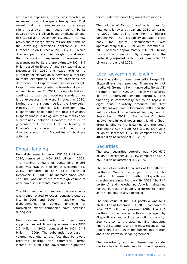and excess exposures, if any, was reported as exposure towards the guaranteeing bank. That meant that maximum exposure to a single client (borrower and guaranteeing bank) equaled NOK 7.1 billion based on Eksportfinans' risk capital as of December 31, 2010. The new provisions for large exposures are the same as the prevailing provisions applicable in the European Union (Directive 2006/48/EU) , which does not permit such risk weighting and entail that the maximum exposure to borrower and guaranteeing banks are approximately NOK 1.4 billion based on Eksportfinans' risk capital as of December 31, 2010 and leave little or no authority for Norwegian supervisory authorities to make exemptions. The new provisions are detrimental to Eksportfinans' business concept. Eksportfinans was granted a transitional period ending December 31, 2011, during which it can continue to use the reporting standards for large exposures that were in effect in 2010. During the transitional period the Norwegian Ministry of Finance will consider how Eksportfinans shall adopt the new provisions. Eksportfinans is in dialog with the authorities for a sustainable solution. However, there is no guarantee that the result of the Ministry of Finance's consideration will not be disadvantageous to Eksportfinans' business activities.

#### Export lending

New disbursements were NOK 33.7 billion in 2010, compared to NOK 28.1 billion in 2009. The nominal amount of outstanding export loans was NOK 99.8 billion at December 31, 2010, compared to NOK 81.4 billion at December 31, 2009. The increase since yearend 2009 was due to the record high volume of new loan disbursements made in 2010.

The high volume of new loan disbursements was mainly related to export contracts entered into in 2008 and 2009. In addition, new disbursements for general financing of Norwegian export companies have increased during 2010.

New disbursements under the governmentsupported export financing scheme were NOK 2.7 billion in 2010, compared to NOK 14.4 billion in 2009. The substantial decrease in volume was due to the fact that borrowers preferred floating rate commercial terms instead of fixed rate government supported

terms under the prevailing market conditions.

The volume of Eksportfinans' order book for new loans is lower at year-end 2010 compared to 2009, but still strong from a historic perspective. The probability-adjusted order book for future disbursements was approximately NOK 20.5 billion at December 31, 2010, of which approximately NOK 19.5 billion was contract financing. By comparison, the probability-adjusted order book was NOK 27 billion at the end of 2009.

#### Local government lending

After the sale of Kommunekreditt Norge AS, Eksportfinans has provided financing to KLP Kreditt AS (formerly Kommunekreditt Norge AS) through a loan of NOK 34.4 billion with security in the underlying lending portfolio. This financing is contractually set to be repaid in eight equal, quarterly amounts. The first installment was paid in December 2009, and the last installment is scheduled for payment in September 2011. Eksportfinans' total involvement in local government lending (both direct lending to municipalities and the credit provided to KLP Kreditt AS) totaled NOK 23.5 billion at December 31, 2010, compared to NOK 40.8 billion at December 31, 2009.

#### Securities

The total securities portfolio was NOK 67.9 billion at December 31, 2010, compared to NOK 76.1 billion at December 31, 2009.

The securities portfolio consists of two different portfolios. One is the subject of a Portfolio Hedge Agreement with Eksportfinans shareholders since February 29, 2008 (the PHA portfolio), and the other portfolio is maintained for the purpose of liquidity (referred to herein as the "liquidity reserve portfolio").

The fair value of the PHA portfolio was NOK 36.0 billion at December 31, 2010, compared to NOK 52.2 billion at year-end 2009. The PHA portfolio is no longer actively managed by Eksportfinans and will be run off to maturity. See Note 14 to the accompanying unaudited financial statements and the most recent annual report on Form 20-F for further information about the Portfolio Hedge Agreement.

The uncertainty in the international capital markets has led to relatively high credit spreads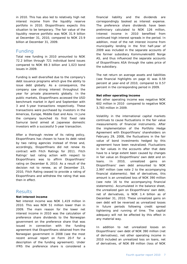in 2010. This has also led to relatively high net interest income from the liquidity reserve portfolio in 2010. Eksportfinans expects this situation to be temporary. The fair value of the liquidity reserve portfolio was NOK 31.9 billion at December 31, 2010, compared to NOK 23.9 billion at December 31, 2009.

#### Funding

Total new funding in 2010 amounted to NOK 72.2 billion through 721 individual bond issues compared to NOK 69.3 billion and 1,023 bond issues in 2009.

Funding is well diversified due to the company's debt issuance programs which give the ability to issue debt globally. As a consequence, the company saw strong interest throughout the year for private placements globally. In the public markets, Eksportfinans accessed the USD benchmark market in April and September with 3 and 5-year transactions respectively. These transactions were purchased by investors in the Americas, Europe, Middle East and Asia. In June the company launched its first fixed rate Samurai bond aimed at Japanese domestic investors with a successful 5-year transaction.

After a thorough review of its rating policy, Eksportfinans has chosen to have its debt rated by two rating agencies instead of three and, accordingly, Eksportfinans did not renew its contract with Fitch Ratings for 2011. Fitch Ratings' last rating action with respect to Eksportfinans was to affirm Eksportfinans' rating on December 8, 2010. As a result of the decision not to renew, as of December 23, 2010, Fitch Rating ceased to provide a rating of Eksportfinans and withdrew the rating that was then in effect.

#### **Results**

#### **Net interest income**

Net interest income was NOK 1,419 million in 2010. This was NOK 51 million lower than in 2009. The main reason for the lower net interest income in 2010 was the calculation of preference share dividends to the Norwegian government on the preference share that was issued in connection with the funding agreement that Eksportfinans obtained from the Norwegian government in 2008 (see the most recent annual report on Form 20-F for a description of the funding agreement). Under IFRS the preference share is considered a

financial liability and the dividends are correspondingly booked as interest expense. The preference share dividends have been preliminary calculated to NOK 126 million, Interest income in 2010 benefited from continued high interest spreads in the period. In addition, most of the net interest income from municipality lending in the first half-year of 2009 was included in the separate accounts of the former subsidiary Kommunekreditt Norge AS, and thus influenced the separate accounts of Eksportfinans ASA through the sales price of the subsidiary.

The net return on average assets and liabilities (see financial highlights on page 4) was 0.59 percent at year-end of 2010, compared to 0.57 percent in the corresponding period in 2009.

#### **Net other operating income**

Net other operating income was negative NOK 602 million in 2010 compared to negative NOK 3,783 million in 2009.

Volatility in the international capital markets continues to cause fluctuations in the fair value measurements of financial instruments. After the implementation of the Portfolio Hedge Agreement with Eksportfinans' shareholders on February 29, 2008, the fluctuations in the fair value of bond investments hedged by this agreement have been neutralized. Fluctuations in fair values in the accounts after that date have to a large extent been caused by changes in fair value on Eksportfinans' own debt and on loans. In 2010, unrealized gains on Eksportfinans' own debt amounted to NOK 2,997 million (see note 2 to the accompanying financial statements). Net of derivatives, this amount is an unrealized loss of NOK 390 million (see note 16 to the accompanying financial statements). Accumulated in the balance sheet, the unrealized gain on Eksportfinans' own debt, net of derivatives, is NOK 1.4 billion as of December 31, 2010. These unrealized gains on own debt will be reversed as unrealized losses in future periods following credit spread tightening and running of time. The capital adequacy will not be affected by this effect in any material way.

In addition to net unrealized losses on Eksportfinans' own debt of NOK 390 million (net of derivatives), net other operating income in 2010 included an unrealized loss on loans, net of derivatives, of NOK 89 million (loss of NOK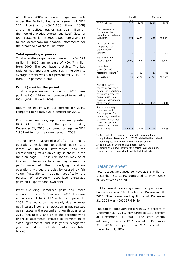49 million in 2009), an unrealized gain on bonds under the Portfolio Hedge Agreement of NOK 124 million (gain of NOK 1,666 million in 2009) and an unrealized loss of NOK 202 million on the Portfolio Hedge Agreement itself (loss of NOK 1,582 million in 2009). See note 2 and 16 to the accompanying financial statements for the breakdown of these line items.

#### **Total operating expenses**

Total operating expenses amounted to NOK 194 million in 2010, an increase of NOK 7 million from 2009. The cost base is stable. The key ratio of Net operating expenses in relation to average assets was 0.09 percent for 2010, up from 0.07 percent in 2009.

#### **Profit/(loss) for the period**

Total comprehensive income in 2010 was positive NOK 448 million, compared to negative NOK 1,801 million in 2009.

Return on equity was 8.5 percent for 2010, compared to negative 28.6 percent for 2009.

Profit from continuing operations was positive NOK 448 million for the period ending December 31, 2010, compared to negative NOK 1,802 million for the same period in 2009.

The non-IFRS measure of profit from continuing operations excluding unrealized gains and losses on financial instruments, and the corresponding return on equity, is shown in the table on page 8. These calculations may be of interest to investors because they assess the performance of the underlying business operations without the volatility caused by fair value fluctuations, including specifically the reversal of previously recognized unrealized gains on Eksportfinans' own debt.

Profit excluding unrealized gains and losses amounted to NOK 859 million in 2010. This was a decrease of NOK 182 million compared to 2009. The reduction was mainly due to lower net interest income, a reduction in net realized gains/losses in the second and fourth quarter of 2010 (see note 2 and 16 to the accompanying financial statements) related to termination of swap agreements and last year's recognized gains related to Icelandic banks (see table below).

|                                                                                                                                                                            | Fourth<br>quarter |              |             | The year       |
|----------------------------------------------------------------------------------------------------------------------------------------------------------------------------|-------------------|--------------|-------------|----------------|
| (NOK million)                                                                                                                                                              | 2010              | 2009         | 2010        | 2009           |
| Comprehensive<br>income for the<br>period in accordance<br>with IFRS                                                                                                       | 271               | (433)        | 448         | (1,801)        |
| Loss/(profit) for<br>the period from<br>discontinued<br>operations                                                                                                         | 0                 | 0            | 0           | (1)            |
| Net unrealized<br>losses/(gains)                                                                                                                                           | (102)             | 931          | 554         | 3,857          |
| Unrealized<br>gains/(losses)<br>related to Iceland <sup>1)</sup><br>Tax-effect <sup>2)</sup>                                                                               | 17<br>24          | (1)<br>(260) | 17<br>(160) | 91<br>(1, 106) |
|                                                                                                                                                                            |                   |              |             |                |
| Non-IFRS profit<br>for the period from<br>continuing operations<br>excluding unrealized<br>gains/(losses) on<br>financial instruments<br>at fair value                     | 210               | 237          | 859         | 1,041          |
| Return on equity<br>based on profit<br>for the period from<br>continuing operations<br>excluding unrealized<br>gains/(losses) on<br>financial instruments<br>at fair value | 16.3%             | 20.1 %       | 17.7 %      | 24.2 %         |

1) Reversal of previously recognized loss (at exchange rates applicable at December 31, 2010) related to the Icelandic bank exposure included in the line item above

2) 28 percent of the unrealized items above

3) Return on equity: Profit for the period/average equity adjusted for proposed not distributed dividends.

#### Balance sheet

Total assets amounted to NOK 215.5 billion at December 31, 2010, compared to NOK 225.3 billion at year-end 2009.

Debt incurred by issuing commercial paper and bonds was NOK 186.4 billion at December 31, 2010. The corresponding figure at December 31, 2009 was NOK 197.6 billion.

The capital adequacy ratio was 17.6 percent at December 31, 2010, compared to 13.3 percent at December 31, 2009. The core capital adequacy ratio was 12.7 percent at December 31, 2010, compared to 9.7 percent at December 31, 2009.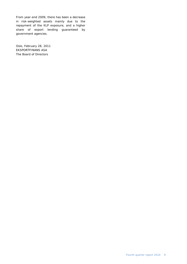From year-end 2009, there has been a decrease in risk-weighted assets mainly due to the repayment of the KLP exposure, and a higher share of export lending guaranteed by government agencies.

Oslo, February 28, 2011 EKSPORTFINANS ASA The Board of Directors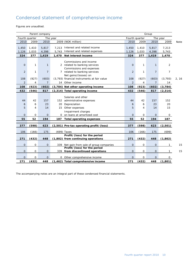# Condensed statement of comprehensive income

Figures are unaudited.

|                | Group<br>Parent company |                |          |                                             |                |              |                |                |       |
|----------------|-------------------------|----------------|----------|---------------------------------------------|----------------|--------------|----------------|----------------|-------|
| Fourth quarter |                         |                | The year |                                             | Fourth quarter |              |                | The year       |       |
| 2010           | 2009                    | 2010           |          | 2009 (NOK million)                          | 2010           | 2009         | 2010           | 2009           | Note  |
| 1,450          | 1,410                   | 5,817          | 7,213    | Interest and related income                 | 1,450          | 1,410        | 5,817          | 7,213          |       |
| 1,126          | 1,033                   | 4,398          | 5,743    | Interest and related expenses               | 1,126          | 1,033        | 4,398          | 5,743          |       |
| 324            | 377                     | 1,419          | 1,470    | Net interest income                         | 324            | 377          | 1,419          | 1,470          |       |
|                |                         |                |          |                                             |                |              |                |                |       |
|                |                         |                |          | Commissions and income                      |                |              |                |                |       |
| $\overline{O}$ | $\mathbf{1}$            | $\mathbf{1}$   |          | 2 related to banking services               | $\Omega$       | $\mathbf{1}$ | $\mathbf{1}$   | 2              |       |
|                |                         |                |          | Commissions and expenses                    |                |              |                |                |       |
| $\overline{2}$ | $\mathbf{1}$            | $\overline{7}$ |          | 7 related to banking services               | $\overline{2}$ | $\mathbf{1}$ | $\overline{7}$ | $\overline{7}$ |       |
|                |                         |                |          | Net gains/(losses) on                       |                |              |                |                |       |
| 108            | (927)                   | (603)          |          | (3,793) financial instruments at fair value | 108            | (927)        | (603)          | (3, 793)       | 2, 16 |
| 2              | 4                       | $\overline{7}$ |          | 14 Other income                             | $\overline{2}$ | 4            | $\overline{7}$ | 14             |       |
| 108            | (923)                   | (602)          |          | (3,784) Net other operating income          | 108            | (923)        | (602)          | (3, 784)       |       |
| 432            | (546)                   | 817            |          | (2,314) Total operating income              | 432            | (546)        | 817            | (2, 314)       |       |
|                |                         |                |          |                                             |                |              |                |                |       |
| 44             | 42                      | 157            |          | Salaries and other                          | 44             | 42           | 157            | 152            |       |
|                |                         | 23             |          | 152 administrative expenses                 |                |              | 23             |                |       |
| 6              | 6                       |                | 20       | Depreciation                                | 6              | 6            |                | 20             |       |
| 5              | 4                       | 14             | 15       | Other expenses                              | 5              | 4            | 14             | 15             |       |
|                |                         |                |          | Impairment charges                          |                |              |                |                |       |
| $\mathbf 0$    | 0                       | $\mathbf{O}$   |          | 0 on loans at amortized cost                | $\mathbf 0$    | 0            | 0              | $\overline{O}$ |       |
| 55             | 52                      | 194            | 187      | <b>Total operating expenses</b>             | 55             | 52           | 194            | 187            |       |
| 377            | (598)                   | 623            |          | (2,501) Pre-tax operating profit/(loss)     | 377            | (598)        | 623            | (2,501)        |       |
|                |                         |                |          |                                             |                |              |                |                |       |
| 106            | (166)                   | 175            |          | (699) Taxes                                 | 106            | (166)        | 175            | (699)          |       |
|                |                         |                |          | Profit/(loss) for the period                |                |              |                |                |       |
| 271            | (432)                   | 448            |          | (1,802) from continuing operations          | 271            | (432)        | 448            | (1,802)        |       |
| $\mathbf 0$    | $\mathsf{O}$            | $\mathbf{O}$   |          | 339 Net gain from sale of group companies   | $\Omega$       | 0            | 0              | $\mathbf{1}$   | 15    |
|                |                         |                |          | Profit/(loss) for the period                |                |              |                |                |       |
| $\mathbf{O}$   | 0                       | $\mathbf 0$    |          | 339 from discontinued operations            | 0              | 0            | 0              | 1              | 15    |
| $\Omega$       | 0                       | $\mathbf{O}$   |          | 0 Other comprehensive income                | $\overline{O}$ | 0            | $\overline{O}$ | $\mathsf{O}$   |       |
| 271            | (432)                   | 448            |          | (1,462) Total comprehensive income          | 271            | (432)        | 448            | (1, 801)       |       |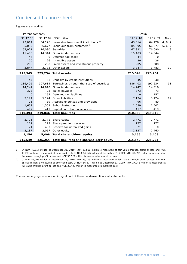## Condensed balance sheet

Figures are unaudited.

| Group<br>Parent company |         |                                                         |          |          |         |
|-------------------------|---------|---------------------------------------------------------|----------|----------|---------|
| 31.12.10                |         | 31.12.09 (NOK million)                                  | 31.12.10 | 31.12.09 | Note    |
| 43,014                  |         | 64,126 Loans due from credit institutions <sup>1)</sup> | 43,014   | 64,126   | 4, 6, 7 |
| 85,095                  |         | 66,677 Loans due from customers <sup>2)</sup>           | 85,095   | 66,677   | 5, 6, 7 |
| 67,921                  |         | 76.090 Securities                                       | 67,921   | 76,090   | 8       |
| 15,403                  | 14,344  | Financial derivatives                                   | 15,403   | 14,344   |         |
| 44                      | 0       | Deferred tax asset                                      | 44       | 0        |         |
| 20                      | 26      | Intangible assets                                       | 20       | 26       |         |
| 205                     | 208     | Fixed assets and investment property                    | 205      | 208      | 9       |
| 3,847                   | 3,783   | Other assets                                            | 3,847    | 3,783    | 10      |
| 215,549                 |         | 225,254 Total assets                                    | 215,549  | 225,254  |         |
|                         |         |                                                         |          |          |         |
| 45                      |         | 38 Deposits by credit institutions                      | 45       | 38       |         |
| 186,402                 | 197.634 | Borrowings through the issue of securities              | 186,402  | 197,634  | 11      |
| 14,247                  |         | 14,810 Financial derivatives                            | 14,247   | 14,810   |         |
| 373                     | 73      | Taxes payable                                           | 373      | 73       |         |
| $\Omega$                | 157     | Deferred tax liabilities                                | $\Omega$ | 157      |         |
| 7,174                   | 5,124   | Other liabilities                                       | 7,174    | 5,124    | 12      |
| 96                      | 89      | Accrued expenses and provisions                         | 96       | 89       |         |
| 1,639                   |         | 1,502 Subordinated debt                                 | 1,639    | 1,502    |         |
| 417                     | 419     | Capital contribution securities                         | 417      | 419      |         |
| 210,393                 | 219,846 | <b>Total liabilities</b>                                | 210,393  | 219,846  |         |
|                         |         |                                                         |          |          |         |
| 2,771                   | 2,771   | Share capital                                           | 2,771    | 2,771    |         |
| 177                     | 177     | Share premium reserve                                   | 177      | 177      |         |
| 71                      | 403     | Reserve for unrealized gains                            | 71       | 0        |         |
| 2,137                   | 2,057   | Other equity                                            | 2,137    | 2,460    |         |
| 5,156                   |         | 5,408 Total shareholders' equity                        | 5,156    | 5,408    |         |
| 215,549                 |         | 225,254 Total liabilities and shareholders' equity      | 215,549  | 225,254  |         |

1) Of NOK 43,014 million at December 31, 2010, NOK 29,811 million is measured at fair value through profit or loss and NOK 13,203 million is measured at amortized cost. Of NOK 64,126 million at December 31, 2009, NOK 33,597 million is measured at fair value through profit or loss and NOK 30,529 million is measured at amortized cost.

2) Of NOK 85,095 million at December 31, 2010, NOK 49,205 million is measured at fair value through profit or loss and NOK 35,890 million is measured at amortized cost. Of NOK 66,677 million at December 31, 2009, NOK 27,248 million is measured at fair value through profit or loss and NOK 39,429 million is measured at amortized cost.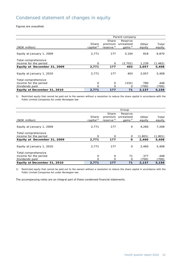# Condensed statement of changes in equity

Figures are unaudited.

|                             | Parent company        |             |               |        |          |  |  |  |
|-----------------------------|-----------------------|-------------|---------------|--------|----------|--|--|--|
|                             |                       | Share       | Reserve       |        |          |  |  |  |
|                             | Share                 | premium     | unrealized    | Other  | Total    |  |  |  |
| (NOK million)               | capital <sup>1)</sup> | reserve $1$ | gains $^{1)}$ | equity | equity   |  |  |  |
|                             |                       |             |               |        |          |  |  |  |
| Equity at January 1, 2009   | 2,771                 | 177         | 3,104         | 818    | 6,870    |  |  |  |
| Total comprehensive         |                       |             |               |        |          |  |  |  |
| income for the period       | O                     | $\Omega$    | (2,701)       | 1,239  | (1, 462) |  |  |  |
| Equity at December 31, 2009 | 2,771                 | 177         | 403           | 2,057  | 5,408    |  |  |  |
|                             |                       |             |               |        |          |  |  |  |
| Equity at January 1, 2010   | 2,771                 | 177         | 403           | 2.057  | 5,408    |  |  |  |
| Total comprehensive         |                       |             |               |        |          |  |  |  |
| income for the period       | O                     | $\mathbf 0$ | (332)         | 780    | 448      |  |  |  |
| Dividends paid              | Ω                     | Ω           | O             | (700)  | (700)    |  |  |  |
| Equity at December 31, 2010 | 2,771                 | 177         | 71            | 2,137  | 5,156    |  |  |  |

1) Restricted equity that cannot be paid out to the owners without a resolution to reduce the share capital in accordance with the Public Limited Companies Act under Norwegian law.

|                             |                       |                         | Group        |         |          |
|-----------------------------|-----------------------|-------------------------|--------------|---------|----------|
|                             |                       | Share                   | Reserve      |         |          |
|                             | Share                 | premium                 | unrealized   | Other   | Total    |
| (NOK million)               | capital <sup>1)</sup> | $reserve$ <sup>1)</sup> | gains $^{1}$ | equity  | equity   |
| Equity at January 1, 2009   | 2,771                 | 177                     | $\mathbf 0$  | 4,260   | 7,208    |
|                             |                       |                         |              |         |          |
| Total comprehensive         |                       |                         |              |         |          |
| income for the period       | $\Omega$              | $\Omega$                | $\Omega$     | (1,801) | (1, 801) |
| Equity at December 31, 2009 | 2,771                 | 177                     | O            | 2,460   | 5,408    |
|                             |                       |                         |              |         |          |
| Equity at January 1, 2010   | 2,771                 | 177                     | $\mathbf 0$  | 2.460   | 5,408    |
| Total comprehensive         |                       |                         |              |         |          |
| income for the period       | O                     | $\Omega$                | 71           | 377     | 448      |
| Dividends paid              | Ω                     | Ω                       | $\Omega$     | (700)   | (700)    |
| Equity at December 31, 2010 | 2,771                 | 177                     | 71           | 2,137   | 5,156    |

1) Restricted equity that cannot be paid out to the owners without a resolution to reduce the share capital in accordance with the Public Limited Companies Act under Norwegian law.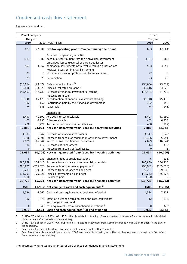## Condensed cash flow statement

Figures are unaudited.

| Group<br>Parent company |    |                                                                                                                          |                |              |  |
|-------------------------|----|--------------------------------------------------------------------------------------------------------------------------|----------------|--------------|--|
| The year                |    |                                                                                                                          | The year       |              |  |
| 2010                    |    | 2009 (NOK million)                                                                                                       | 2010           | 2009         |  |
| 623                     |    | (2,501) Pre-tax operating profit from continuing operations                                                              | 623            | (2,501)      |  |
|                         |    | Provided by operating activities:                                                                                        |                |              |  |
| (787)                   |    | (382) Accrual of contribution from the Norwegian government                                                              | (787)          | (382)        |  |
| 553                     |    | Unrealized losses (reversal of unrealized losses)<br>3,857 on financial instruments at fair value through profit or loss | 553            | 3,857        |  |
|                         |    | Realized losses on financial instruments                                                                                 |                |              |  |
| 27                      |    | 0 at fair value through profit or loss [non-cash item]                                                                   | 27             | 0            |  |
| 23                      | 20 | Depreciation                                                                                                             | 23             | 20           |  |
| (33, 654)               |    | $(73, 372)$ Disbursement of loans <sup>1)</sup>                                                                          | (33, 654)      | (73, 372)    |  |
| 32,416                  |    | 83,820 Principal collected on loans <sup>2)</sup>                                                                        | 32,416         | 83,820       |  |
| (43, 401)               |    | (37,730) Purchase of financial investments (trading)                                                                     | (43, 401)      | (37, 730)    |  |
|                         |    | Proceeds from sale                                                                                                       |                |              |  |
| 38,748                  |    | 45,473 or redemption of financial investments (trading)                                                                  | 38,748         | 45,473       |  |
| 332                     |    | 152 Contribution paid by the Norwegian government                                                                        | 332            | 152          |  |
| (74)                    |    | (143) Taxes paid                                                                                                         | (74)           | (143)        |  |
|                         |    | Changes in:                                                                                                              |                |              |  |
| 1,497                   |    | (1,199) Accrued interest receivable                                                                                      | 1,497          | (1, 199)     |  |
| 402                     |    | 6,756 Other receivables                                                                                                  | 402            | 6,756        |  |
| 408                     |    | (727) Accrued expenses and other liabilities                                                                             | 408            | (727)        |  |
| (2,886)                 |    | 24,024 Net cash generated from/(used in) operating activities                                                            | (2,886)        | 24,024       |  |
| (4, 317)                |    | (642) Purchase of financial investments                                                                                  | (4, 317)       | (642)        |  |
| 18,336                  |    | 5,991 Proceeds from sale or redemption of financial investments                                                          | 18,336         | 5,991        |  |
| 7,029                   |    | (16,044) Net cash flow from financial derivatives                                                                        | 7,029          | (16, 044)    |  |
| (14)                    |    | (12) Purchases of fixed assets                                                                                           | (14)           | (12)         |  |
| $\Omega$                |    | 1 Proceeds from sales of fixed assets                                                                                    | $\overline{0}$ | $\mathbf{1}$ |  |
| 21,034                  |    | (10,706) Net cash generated from/(used in) investing activities                                                          | 21,034         | (10, 706)    |  |
| 6                       |    | (231) Change in debt to credit institutions                                                                              | 6              | (231)        |  |
| 280,889                 |    | 256,415 Proceeds from issuance of commercial paper debt                                                                  | 280,889        | 256,415      |  |
| (296, 901)              |    | (265,520) Repayments of commercial paper debt                                                                            | (296, 901)     | (265, 520)   |  |
| 72,231                  |    | 69,339 Proceeds from issuance of bond debt                                                                               | 72,231         | 69,339       |  |
| (74, 253)               |    | (75,226) Principal payments on bond debt                                                                                 | (74, 253)      | (75, 226)    |  |
| (700)                   |    | 0 Dividends paid                                                                                                         | (700)          | $\mathbf{O}$ |  |
| (18, 728)               |    | (15,223) Net cash generated from/(used in) financing activities                                                          | (18, 728)      | (15, 223)    |  |
| (580)                   |    | $(1,905)$ Net change in cash and cash equivalents <sup>3)</sup>                                                          | (580)          | (1,905)      |  |
| 4,524                   |    | 6,667 Cash and cash equivalents at beginning of period                                                                   | 4,524          | 7,327        |  |
| (12)                    |    | (878) Effect of exchange rates on cash and cash equivalents                                                              | (12)           | (878)        |  |
|                         |    | Net change in cash and                                                                                                   |                |              |  |
| $\mathsf{O}\xspace$     |    | 640 cash equivalents from discontinued operations <sup>4)</sup>                                                          | $\mathbf 0$    | (20)         |  |
| 3,932                   |    | 4,524 Cash and cash equivalents <sup>3)</sup> at end of period                                                           | 3,932          | 4,524        |  |

1) Of NOK 73,4 billion in 2009, NOK 45.3 billion is related to funding of Kommunekreditt Norge AS and other municipal-related disbursements after the sale of the subsidiary.

2) Of NOK 83,8 billion in 2009, NOK 44.5 billion is related to repayment from Kommunekreditt Norge AS in relation to the sale of the subsidiary.

3) Cash equivalents are defined as bank deposits with maturity of less than 3 months.

4) Cash flows from discontinued operations for 2009 are related to investing activities, as they represent the net cash flow effect from the sale of the subsidiary.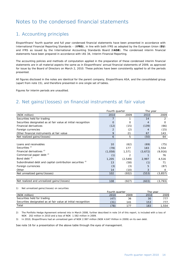# Notes to the condensed financial statements

## 1. Accounting principles

Eksportfinans' fourth quarter and full year condensed financial statements have been presented in accordance with International Financial Reporting Standards – (**IFRS**), in line with both IFRS as adopted by the European Union (**EU**) and IFRS as issued by the International Accounting Standards Board (**IASB**). The condensed interim financial statements have been prepared in accordance with IAS 34, Interim Financial Reporting.

The accounting policies and methods of computation applied in the preparation of these condensed interim financial statements are in all material aspects the same as in Eksportfinans' annual financial statements of 2009, as approved for issue by the Board of Directors on March 2, 2010. These policies have been consistently applied to all the periods presented.

All figures disclosed in the notes are identical for the parent company, Eksportfinans ASA, and the consolidated group (apart from note 15), and therefore presented in one single set of tables.

Figures for interim periods are unaudited.

## 2. Net gains/(losses) on financial instruments at fair value

|                                                                     | Fourth quarter |          | The year |          |  |
|---------------------------------------------------------------------|----------------|----------|----------|----------|--|
| (NOK million)                                                       | 2010           | 2009     | 2010     | 2009     |  |
| Securities held for trading                                         |                |          | 14       | 2        |  |
| Securities designated as at fair value at initial recognition       | $\Omega$       | $\Omega$ | 4        | O        |  |
| <b>Financial derivatives</b>                                        | (12)           | (15)     | (139)    | (66)     |  |
| Foreign currencies                                                  | 2              | (2)      | 4        | (15)     |  |
| Other financial instruments at fair value                           | 9              | 21       | 67       | 143      |  |
| Net realized gains/(losses)                                         | 6              | 5        | (50)     | 64       |  |
|                                                                     |                |          |          |          |  |
| Loans and receivables                                               | 10             | (62)     | (69)     | (75)     |  |
| Securities <sup>1)</sup>                                            | (78)           | 177      | 183      | 1,554    |  |
| Financial derivatives <sup>2)</sup>                                 | (1,058)        | 1,571    | (3,672)  | (9,916)  |  |
| Commercial paper debt 3)                                            | (1)            | 2        |          | 76       |  |
| Bond debt <sup>3)</sup>                                             | 1,205          | (2, 549) | 2,997    | 4,516    |  |
| Subordinated debt and capital contribution securities <sup>3)</sup> | 13             | (58)     | (1)      | 71       |  |
| Foreign currencies                                                  | (3)            | (3)      | 5        | (87)     |  |
| Other                                                               | 14             | (10)     | 3        | 4        |  |
| Net unrealized gains/(losses)                                       | 102            | (932)    | (553)    | (3, 857) |  |
|                                                                     |                |          |          |          |  |
| Net realized and unrealized gains/(losses)                          | 108            | (927)    | (603)    | (3, 793) |  |

1) Net unrealized gains/(losses) on securities

|                                                               | Fourth quarter |      | The vear |      |
|---------------------------------------------------------------|----------------|------|----------|------|
| (NOK million)                                                 | 2010           | 2009 | 2010     | 2009 |
| Securities held for trading                                   | (47)           | 36   | 30       | 77.  |
| Securities designated as at fair value at initial recognition | (31            | 141  | 153      |      |
| Total                                                         | (78)           |      | 183      | ,554 |

2) The Portfolio Hedge Agreement entered into in March 2008, further described in note 14 of this report, is included with a loss of NOK 202 million in 2010 and a loss of NOK 1.582 million in 2009.

3) In 2010, Eksportfinans had an unrealized gain of NOK 2.997 million (NOK 4.647 million in 2009) on its own debt.

See note 16 for a presentation of the above table through the eyes of management.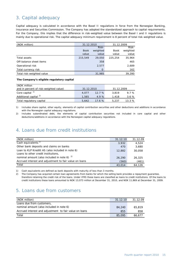## 3. Capital adequacy

Capital adequacy is calculated in accordance with the Basel II regulations in force from the Norwegian Banking, Insurance and Securities Commission. The Company has adopted the standardized approach to capital requirements. For the Company, this implies that the difference in risk-weighted value between the Basel I and II regulations is mainly due to operational risk. The capital adequacy minimum requirement is 8 percent of total risk-weighted value.

| (NOK million)             | 31.12.2010  |          | 31.12.2009  |          |  |
|---------------------------|-------------|----------|-------------|----------|--|
|                           |             | Risk-    |             | Risk-    |  |
|                           | <b>Book</b> | weighted | <b>Book</b> | weighted |  |
|                           | value       | value    | value       | value    |  |
| Total assets              | 215,549     | 29,050   | 225.254     | 35,964   |  |
| Off-balance sheet items   |             | 358      |             | 465      |  |
| Operational risk          |             | 2,577    |             | 2,689    |  |
| Total currency risk       |             | 0        |             | 162      |  |
| Total risk-weighted value |             | 31,985   |             | 39,280   |  |

#### **The Company's eligible regulatory capital**

| (NOK million                           |            |        |            |       |  |
|----------------------------------------|------------|--------|------------|-------|--|
| and in percent of risk-weighted value) | 31.12.2010 |        | 31.12.2009 |       |  |
| Core capital <sup>1)</sup>             | 4.077      | 12.7%  | 3.819      | 9.7%  |  |
| Additional capital <sup>2)</sup>       | 1.565      | 4.9%   | 1.418      | 3.6%  |  |
| Total regulatory capital               | 5.642      | 17.6 % | 5.237      | 13.3% |  |

1) Includes share capital, other equity, elements of capital contribution securities and other deductions and additions in accordance with the Norwegian capital adequacy regulations.

2) Includes subordinated debt, the elements of capital contribution securities not included in core capital and other deductions/additions in accordance with the Norwegian capital adequacy regulations.

#### 4. Loans due from credit institutions

| (NOK million)                                          | 31.12.10 | 31.12.09 |
|--------------------------------------------------------|----------|----------|
| Cash equivalents <sup>1)</sup>                         | 3.932    | 4.524    |
| Other bank deposits and claims on banks                | 470      | 3,680    |
| Loan to KLP Kreditt AS (also included in note 6)       | 12,882   | 30,058   |
| Loans to other credit institutions,                    |          |          |
| nominal amount (also included in note 6) $2^{2}$       | 26,290   | 26,325   |
| Accrued interest and adjustment to fair value on loans | (560)    | (461)    |
| Total                                                  | 43,014   | 64.126   |

1) Cash equivalents are defined as bank deposits with maturity of less than 3 months.

2) The Company has acquired certain loan agreements from banks for which the selling bank provides a repayment guarantee, therefore retaining the credit risk of the loans. Under IFRS these loans are classified as loans to credit institutions. Of the loans to credit institutions these loans amounted to NOK 13,073 million at December 31, 2010, and NOK 11,869 at December 31, 2009.

## 5. Loans due from customers

| (NOK million)                                          | 31.12.10 | 31.12.09 |
|--------------------------------------------------------|----------|----------|
| Loans due from customers,                              |          |          |
| nominal amount (also included in note 6)               | 84,240   | 65,819   |
| Accrued interest and adjustment to fair value on loans | 855      | 858      |
| Total                                                  | 85,095   | 66.677   |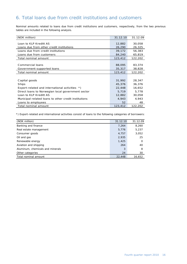## 6. Total loans due from credit institutions and customers

Nominal amounts related to loans due from credit institutions and customers, respectively, from the two previous tables are included in the following analysis.

| (NOK million)                                        | 31.12.10 | 31.12.09 |
|------------------------------------------------------|----------|----------|
|                                                      |          |          |
| Loan to KLP Kreditt AS                               | 12,882   | 30,058   |
| Loans due from other credit institutions             | 26,290   | 26,325   |
| Loans due from credit institutions                   | 39,172   | 56,383   |
| Loans due from customers                             | 84,240   | 65,819   |
| Total nominal amount                                 | 123,412  | 122,202  |
|                                                      |          |          |
| Commercial loans                                     | 88,095   | 83,374   |
| Government-supported loans                           | 35,317   | 38,828   |
| Total nominal amount                                 | 123,412  | 122,202  |
|                                                      |          |          |
| Capital goods                                        | 31,992   | 28,347   |
| Ships                                                | 45,376   | 36,376   |
| Export-related and international activities *)       | 22,448   | 16,652   |
| Direct loans to Norwegian local government sector    | 5,719    | 5,778    |
| Loan to KLP Kreditt AS                               | 12,882   | 30,058   |
| Municipal-related loans to other credit institutions | 4,943    | 4,943    |
| Loans to employees                                   | 52       | 48       |
| Total nominal amount                                 | 123,412  | 122,202  |

\*) Export-related and international activities consist of loans to the following categories of borrowers:

| (NOK million)                    | 31.12.10 | 31.12.09 |
|----------------------------------|----------|----------|
| Banking and finance              | 7,264    | 8,260    |
| Real estate management           | 5,776    | 5,237    |
| Consumer goods                   | 4,757    | 3,052    |
| Oil and gas                      | 2,935    | 25       |
| Renewable energy                 | 1,425    | O        |
| Aviation and shipping            | 264      | 40       |
| Aluminum, chemicals and minerals | 3        | 8        |
| Other categories                 | 24       | 30       |
| Total nominal amount             | 22,448   | 16,652   |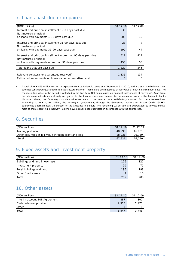# 7. Loans past due or impaired

| (NOK million)                                                                          | 31.12.10 | 31.12.09          |
|----------------------------------------------------------------------------------------|----------|-------------------|
| Interest and principal installment 1-30 days past due                                  | 30       | 5                 |
| Not matured principal                                                                  |          |                   |
| on loans with payments 1-30 days past due                                              | 608      | $12 \overline{ }$ |
| Interest and principal installment 31-90 days past due<br>Not matured principal        | 28       |                   |
| on loans with payments 31-90 days past due                                             | 199      | 47                |
| Interest and principal installment more than 90 days past due<br>Not matured principal | 511      | 417               |
| on loans with payments more than 90 days past due                                      | 453      | 58                |
| Total loans that are past due                                                          | 1.829    | 546               |
|                                                                                        |          |                   |
| Relevant collateral or quarantees received"                                            | 1.336    | 137               |
| Estimated impairments on loans valued at amortized cost                                | 0        | 0                 |

 A total of NOK 493 million relates to exposure towards Icelandic banks as of December 31, 2010, and are as of the balance sheet date not considered guaranteed in a satisfactory manner. These loans are measured at fair value at each balance sheet date. The change in fair value in the period is reflected in the line item 'Net gains/losses on financial instruments at fair value'. Apart from the fair value adjustments already recognized in the income statement, related to the exposure towards the Icelandic banks discussed above, the Company considers all other loans to be secured in a satisfactory manner. For these transactions, amounting to NOK 1,336 million, the Norwegian government, through the Guarantee Institute for Export Credit (**GIEK**), guarantees approximately 78 percent of the amounts in default. The remaining 22 percent are guaranteed by private banks, most of them operating in Norway. Claims have already been submitted in accordance with the guarantees.

#### 8. Securities

| (NOK million)                                          | 31.12.10 | 31.12.09 |
|--------------------------------------------------------|----------|----------|
| Trading portfolio                                      | 48,990   | 46.131   |
| Other securities at fair value through profit and loss | 18.931   | 29.959   |
| Total                                                  | 67.921   | 76,090   |

## 9. Fixed assets and investment property

| (NOK million)                 | 31.12.10 | 31.12.09 |
|-------------------------------|----------|----------|
| Buildings and land in own use | 126      | 127      |
| Investment property           | 70       |          |
| Total buildings and land      | 196      | 198      |
| Other fixed assets            | Ω        | 10       |
| Total                         | 205      | 208      |
|                               |          |          |

## 10. Other assets

| (NOK million)                 | 31.12.10 | 31.12.09 |
|-------------------------------|----------|----------|
| Interim account 108 Agreement | 887      | 800      |
| Cash collateral provided      | 2.953    | 2.975    |
| Other                         |          |          |
| Total                         | 3.847    | 3,783    |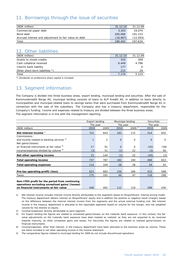## 11. Borrowings through the issue of securities

| (NOK million)                                         | 31.12.10 | 31.12.09  |
|-------------------------------------------------------|----------|-----------|
| Commercial paper debt                                 | 3,303    | 19.074    |
| Bond debt                                             | 200,066  | 191.153   |
| Accrued interest and adjustment to fair value on debt | (16.967) | (12, 593) |
| Total                                                 | 186,402  | 197.634   |

## 12. Other liabilities

| (NOK million)                   | 31.12.10 | 31.12.09 |
|---------------------------------|----------|----------|
| Grants to mixed credits         | 333      | 309      |
| Cash collateral received        | 6.449    | 4.786    |
| Interim bank liability          | 177      |          |
| Other short-term liabilities *) | 215      | 29       |
| Total                           | 7.174    | 5.124    |

\*) Dividends on preference share capital is included.

## 13. Segment information

The Company is divided into three business areas, export lending, municipal lending and securities. After the sale of Kommunekreditt Norge AS, municipal lending consists of loans to KLP Kreditt AS, in addition to loans directly to municipalities and municipal-related loans to savings banks that were purchased from Kommunekreditt Norge AS in connection with the sale of the subsidiary. The Company also has a treasury department, responsible for the Company's funding. Income and expenses related to treasury are divided between the three business areas. The segment information is in line with the management reporting.

|                                                                                                                                            |      | <b>Export lending</b><br>Municipal lending |          |             |          | <b>Securities</b> |
|--------------------------------------------------------------------------------------------------------------------------------------------|------|--------------------------------------------|----------|-------------|----------|-------------------|
|                                                                                                                                            |      | The year<br>The year                       |          |             |          | The year          |
| (NOK million)                                                                                                                              | 2010 | 2009                                       | 2010     | $2009^{5}$  | 2010     | 2009              |
| Net interest income $\frac{1}{2}$                                                                                                          | 722  | 643                                        | 183      | 172         | 514      | 655               |
| Commissions                                                                                                                                |      |                                            |          |             |          |                   |
| and income related to banking services <sup>2)</sup>                                                                                       |      | 2                                          | $\Omega$ | $\mathbf 0$ | $\Omega$ | $\mathbf 0$       |
| Net gains/(losses)                                                                                                                         |      |                                            |          |             |          |                   |
| on financial instruments at fair value 3)                                                                                                  | 17   | 91                                         | $\Omega$ | $\mathbf 0$ | (42)     | (58)              |
| Income/expenses divided by volume 4)                                                                                                       | (3)  | 51                                         | (1)      | 22          | (3)      | 56                |
| Net other operating income                                                                                                                 | 15   | 144                                        | (1)      | 22          | (45)     | (2)               |
| <b>Total operating income</b>                                                                                                              | 737  | 787                                        | 182      | 194         | 469      | 653               |
| <b>Total operating expenses</b>                                                                                                            | 114  | 104                                        | 26       | 28          | 54       | 55                |
|                                                                                                                                            |      |                                            |          |             |          |                   |
| Pre-tax operating profit/(loss)                                                                                                            | 623  | 683                                        | 156      | 166         | 415      | 598               |
| Taxes                                                                                                                                      | 175  | 191                                        | 44       | 47          | 116      | 168               |
| Non-IFRS profit for the period from continuing<br>operations excluding unrealized gains/(losses)<br>on financial instruments at fair value | 448  | 492                                        | 112      | 119         | 299      | 430               |

1) Net interest income includes interest income directly attributable to the segments based on Eksportfinans' internal pricing model. The treasury department obtains interest on Eksportfinans' equity and in addition the positive or negative result (margin) based on the difference between the internal interest income from the segments and the actual external funding cost. Net interest income in the treasury department is allocated to the reportable segments based on volume for the margin, and risk weighted volume for the interest on equity.

2) Income/(expenses) directly attributable to each segment.

3) For Export lending the figures are related to unrealized gains/(losses) on the Icelandic bank exposure. In this context, the fair value adjustments on the Icelandic bank exposure have been treated as realized, as they are not expected to be reversed towards maturity, as other unrealized gains and losses. For Securities the figures are related to realized gains/(losses) on financial instruments.

4) Income/expenses, other than interest, in the treasury department have been allocated to the business areas by volume. These are items included in net other operating income in the income statement.

5) The comparative figures related to municipal lending for 2009 do not include discontinued operations.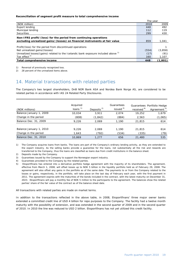#### **Reconciliation of segment profit measure to total comprehensive income**

|                                                                                    | The year |          |
|------------------------------------------------------------------------------------|----------|----------|
| (NOK million)                                                                      | 2010     | 2009     |
| Export lending                                                                     | 448      | 492      |
| Municipal lending                                                                  | 112      | 119      |
| <b>Securities</b>                                                                  | 299      | 430      |
| Non-IFRS profit/(loss) for the period from continuing operations                   |          |          |
| excluding unrealized gains/(losses) on financial instruments at fair value         | 859      | 1,041    |
|                                                                                    |          |          |
| Profit/(loss) for the period from discontinued operations                          |          |          |
| Net unrealized gains/(losses)                                                      | (554)    | (3,858)  |
| Unrealized losses/(gains) related to the Icelandic bank exposure included above 1) | (17)     | (91)     |
| Tax effect <sup>2)</sup>                                                           | 160      | 1,107    |
| Total comprehensive income                                                         | 448      | (1, 801) |

1) Reversal of previously recognized loss.

2) 28 percent of the unrealized items above.

## 14. Material transactions with related parties

The Company's two largest shareholders, DnB NOR Bank ASA and Nordea Bank Norge AS, are considered to be related parties in accordance with IAS 24 Related Party Disclosures.

| (NOK millions)          | Acquired<br>loans $1$ | Deposits $^{2)}$ | Guarantees<br>issued $3)$ | received <sup>4)</sup> | Guarantees Portfolio Hedge<br>Agreement <sup>5)</sup> |
|-------------------------|-----------------------|------------------|---------------------------|------------------------|-------------------------------------------------------|
| Balance January 1, 2009 | 10,034                | 3,911            | 2.074                     | 19,252                 | 1,679                                                 |
| Change in the period    | (808)                 | (1,842)          | (884)                     | 2,563                  | (1,065)                                               |
| Balance Dec. 31, 2009   | 9,226                 | 2,069            | 1,190                     | 21,815                 | 614                                                   |
| Balance January 1, 2010 | 9.226                 | 2,069            | 1,190                     | 21,815                 | 614                                                   |
| Change in the period    | 1,643                 | (792)            | (534)                     | (335)                  | (79)                                                  |
| Balance Dec. 31, 2010   | 10,869                | 1,277            | 656                       | 21,480                 | 535                                                   |

1) The Company acquires loans from banks. The loans are part of the Company's ordinary lending activity, as they are extended to the export industry. As the selling banks provide a guarantee for the loans, not substantially all the risk and rewards are transferred to the Company, thus the loans are classified as loans due from credit institutions in the balance sheet.

2) Deposits made by the Company.

3) Guarantees issued by the Company to support the Norwegian export industry.

4) Guarantees provided to the Company by the related parties.

5) Eksportfinans has entered into a derivative portfolio hedge agreement with the majority of its shareholders. The agreement, effective from March 1, 2008, will offset losses up to NOK 5 billion in the liquidity portfolio held as of February 29, 2008. The agreement will also offset any gains in the portfolio as of the same date. The payments to or from the Company related to the losses or gains, respectively, in the portfolio, will take place on the last day of February each year, with the first payment in 2011. The agreement expires with the maturities of the bonds included in the contract, with the latest maturity on December 31, 2023. Eksportfinans will pay a monthly fee of NOK 5 million to the participants to the agreement. The balances show the related parties' share of the fair value of the contract as of the balance sheet date.

All transactions with related parties are made on market terms.

In addition to the transactions reflected in the above table, in 2008, Eksportfinans' three major owner banks extended a committed credit line of USD 4 billion for repo purposes to the Company. The facility had a twelve month maturity with the possibility of extension, and was extended in the second quarter of 2009 and in the second quarter of 2010. In 2010 the line was reduced to USD 2 billion. Eksportfinans has not yet utilized this credit facility.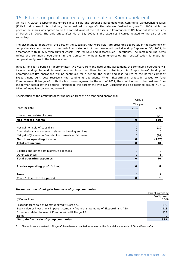#### 15. Effects on profit and equity from sale of Kommunekreditt

On May 7, 2009, Eksportfinans entered into a sale and purchase agreement with Kommunal Landspensjonskasse (KLP) for all shares in its subsidiary Kommunekreditt Norge AS. The sale was finalized on June 24, 2009, while the price of the shares was agreed to be the carried value of the net assets in Kommunekreditt's financial statements as of March 31, 2009. The only effect after March 31, 2009, is the expenses incurred related to the sale of the subsidiary.

The discontinued operations (the parts of the subsidiary that were sold) are presented separately in the statement of comprehensive income and in the cash flow statement of the nine-month period ending September 30, 2009, in accordance with IFRS 5 'Non-current Assets Held for Sale and Discontinued Operations'. The remaining line items reflect the continuing operations in the Company, without Kommunekreditt. No reclassification is made for comparative figures in the balance sheet.

Initially, and for a period of approximately two years from the date of the agreement, the continuing operations will include lending to and interest income from the then former subsidiary. As Eksportfinans' funding of Kommunekreditt's operations will be continued for a period, the profit and loss figures of the parent company Eksportfinans ASA best represent the continuing operations. When Eksportfinans gradually ceases to fund Kommunekreditt Norge AS, with the last down-payment by the end of 2011, the contribution to the business from the former subsidiary will decline. Pursuant to the agreement with KLP, Eksportfinans also retained around NOK 11 billion of loans lent by Kommunekreditt.

Specification of the profit/(loss) for the period from the discontinued operations:

|                                                                                                                   | Group          |           |  |  |
|-------------------------------------------------------------------------------------------------------------------|----------------|-----------|--|--|
|                                                                                                                   | The year       |           |  |  |
| (NOK million)                                                                                                     | 2010           | 2009      |  |  |
| Interest and related income                                                                                       | $\overline{0}$ | 120       |  |  |
| Net interest income                                                                                               | 0              | 120       |  |  |
| Net gain on sale of subsidiary                                                                                    | 0              | (10)      |  |  |
| Commissions and expenses related to banking services<br>Net gains/(losses) on financial instruments at fair value | O<br>$\Omega$  | 0<br>(92) |  |  |
| Net other operating income                                                                                        | 0              | (102)     |  |  |
| Total net income                                                                                                  | O              | 18        |  |  |
| Salaries and other administrative expenses<br>Other expenses                                                      | $\Omega$<br>0  | 9         |  |  |
| <b>Total operating expenses</b>                                                                                   | 0              | 10        |  |  |
| Pre-tax operating profit/(loss)                                                                                   | $\Omega$       | 8         |  |  |
| Taxes                                                                                                             | $\Omega$       |           |  |  |
| Profit/(loss) for the period                                                                                      | O              |           |  |  |

#### **Decomposition of net gain from sale of group companies**

|                                                                                                                                                                                                                     | Parent company       |
|---------------------------------------------------------------------------------------------------------------------------------------------------------------------------------------------------------------------|----------------------|
|                                                                                                                                                                                                                     | Profit/(loss)        |
| (NOK million)                                                                                                                                                                                                       | 2009                 |
| Proceeds from sale of Kommunekreditt Norge AS<br>Book value of investment in parent company financial statements of Eksportfinans ASA <sup>1)</sup><br>Expenses related to sale of Kommunekreditt Norge AS<br>Taxes | 870<br>(518)<br>(11) |
| Net gain from sale of group companies                                                                                                                                                                               |                      |

1) Shares in Kommunekreditt Norge AS have been accounted for at cost in the financial statements of Eksportfinans ASA.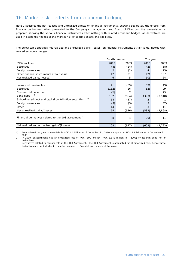# 16. Market risk - effects from economic hedging

Note 2 specifies the net realized and unrealized effects on financial instruments, showing separately the effects from financial derivatives. When presented to the Company's management and Board of Directors, the presentation is prepared showing the various financial instruments after netting with related economic hedges, as derivatives are used in economic hedges of the market risk of specific assets and liabilities.

The below table specifies net realized and unrealized gains/(losses) on financial instruments at fair value, netted with related economic hedges.

|                                                                        | Fourth quarter    |       | The year |          |
|------------------------------------------------------------------------|-------------------|-------|----------|----------|
| (NOK million)                                                          | 2010              | 2009  | 2010     | 2009     |
| Securities                                                             | (8)               | (14)  | (42)     | (58)     |
| Foreign currencies                                                     | 2                 | (2)   | 4        | (15)     |
| Other financial instruments at fair value                              | $12 \overline{ }$ | 21    | (12)     | 137      |
| Net realized gains/(losses)                                            | 6                 | 5     | (50)     | 64       |
|                                                                        |                   |       |          |          |
| Loans and receivables                                                  | 41                | (59)  | (89)     | (49)     |
| Securities                                                             | (132)             | 26    | (62)     | 99       |
| Commercial paper debt <sup>1)</sup> <sup>2)</sup>                      | (2)               | 7     |          | 75       |
| Bond debt <sup>1)</sup> <sup>2)</sup>                                  | 132               | (854) | (393)    | (3,918)  |
| Subordinated debt and capital contribution securities <sup>1) 2)</sup> | 14                | (57)  | 2        |          |
| Foreign currencies                                                     | (3)               | (3)   | 5        | (87)     |
| Other                                                                  | 14                | 4     | 3        | 11       |
| Net unrealized gains/(losses)                                          | 64                | (936) | (533)    | (3,868)  |
| Financial derivatives related to the 108 agreement <sup>3)</sup>       | 38                | 4     | (20)     | 11       |
| Net realized and unrealized gains/(losses)                             | 108               | (927) | (603)    | (3, 793) |

1) Accumulated net gain on own debt is NOK 1.4 billion as of December 31, 2010, compared to NOK 1.8 billion as of December 31, 2009

2) In 2010, Eksportfinans had an unrealized loss of NOK 390 million (NOK 3.842 million in 2009) on its own debt, net of derivatives.

3) Derivatives related to components of the 108 Agreement. The 108 Agreement is accounted for at amortized cost, hence these derivatives are not included in the effects related to financial instruments at fair value.